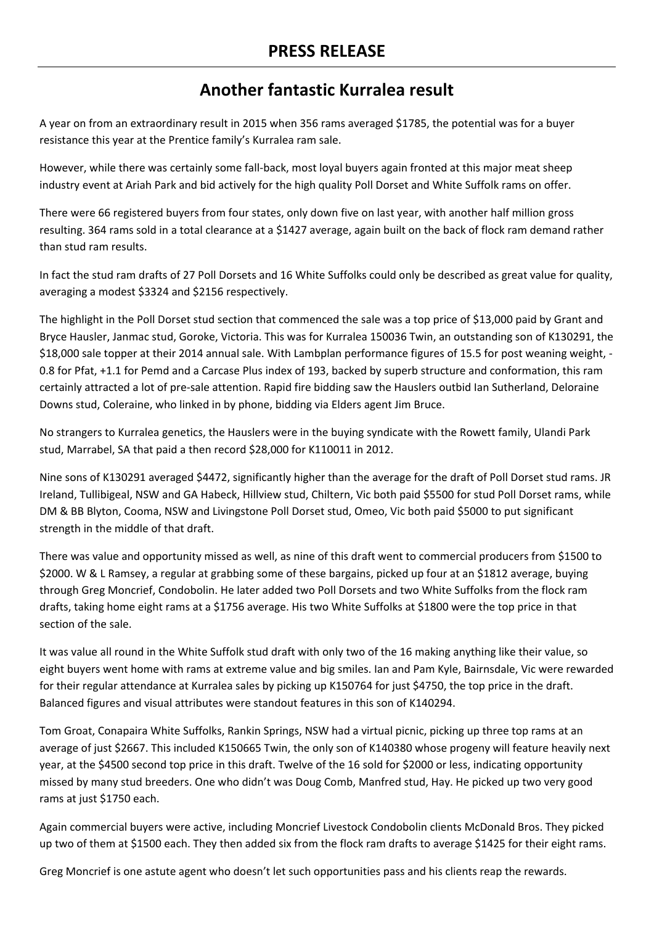## **Another fantastic Kurralea result**

A year on from an extraordinary result in 2015 when 356 rams averaged \$1785, the potential was for a buyer resistance this year at the Prentice family's Kurralea ram sale.

However, while there was certainly some fall‐back, most loyal buyers again fronted at this major meat sheep industry event at Ariah Park and bid actively for the high quality Poll Dorset and White Suffolk rams on offer.

There were 66 registered buyers from four states, only down five on last year, with another half million gross resulting. 364 rams sold in a total clearance at a \$1427 average, again built on the back of flock ram demand rather than stud ram results.

In fact the stud ram drafts of 27 Poll Dorsets and 16 White Suffolks could only be described as great value for quality, averaging a modest \$3324 and \$2156 respectively.

The highlight in the Poll Dorset stud section that commenced the sale was a top price of \$13,000 paid by Grant and Bryce Hausler, Janmac stud, Goroke, Victoria. This was for Kurralea 150036 Twin, an outstanding son of K130291, the \$18,000 sale topper at their 2014 annual sale. With Lambplan performance figures of 15.5 for post weaning weight, ‐ 0.8 for Pfat, +1.1 for Pemd and a Carcase Plus index of 193, backed by superb structure and conformation, this ram certainly attracted a lot of pre‐sale attention. Rapid fire bidding saw the Hauslers outbid Ian Sutherland, Deloraine Downs stud, Coleraine, who linked in by phone, bidding via Elders agent Jim Bruce.

No strangers to Kurralea genetics, the Hauslers were in the buying syndicate with the Rowett family, Ulandi Park stud, Marrabel, SA that paid a then record \$28,000 for K110011 in 2012.

Nine sons of K130291 averaged \$4472, significantly higher than the average for the draft of Poll Dorset stud rams. JR Ireland, Tullibigeal, NSW and GA Habeck, Hillview stud, Chiltern, Vic both paid \$5500 for stud Poll Dorset rams, while DM & BB Blyton, Cooma, NSW and Livingstone Poll Dorset stud, Omeo, Vic both paid \$5000 to put significant strength in the middle of that draft.

There was value and opportunity missed as well, as nine of this draft went to commercial producers from \$1500 to \$2000. W & L Ramsey, a regular at grabbing some of these bargains, picked up four at an \$1812 average, buying through Greg Moncrief, Condobolin. He later added two Poll Dorsets and two White Suffolks from the flock ram drafts, taking home eight rams at a \$1756 average. His two White Suffolks at \$1800 were the top price in that section of the sale.

It was value all round in the White Suffolk stud draft with only two of the 16 making anything like their value, so eight buyers went home with rams at extreme value and big smiles. Ian and Pam Kyle, Bairnsdale, Vic were rewarded for their regular attendance at Kurralea sales by picking up K150764 for just \$4750, the top price in the draft. Balanced figures and visual attributes were standout features in this son of K140294.

Tom Groat, Conapaira White Suffolks, Rankin Springs, NSW had a virtual picnic, picking up three top rams at an average of just \$2667. This included K150665 Twin, the only son of K140380 whose progeny will feature heavily next year, at the \$4500 second top price in this draft. Twelve of the 16 sold for \$2000 or less, indicating opportunity missed by many stud breeders. One who didn't was Doug Comb, Manfred stud, Hay. He picked up two very good rams at just \$1750 each.

Again commercial buyers were active, including Moncrief Livestock Condobolin clients McDonald Bros. They picked up two of them at \$1500 each. They then added six from the flock ram drafts to average \$1425 for their eight rams.

Greg Moncrief is one astute agent who doesn't let such opportunities pass and his clients reap the rewards.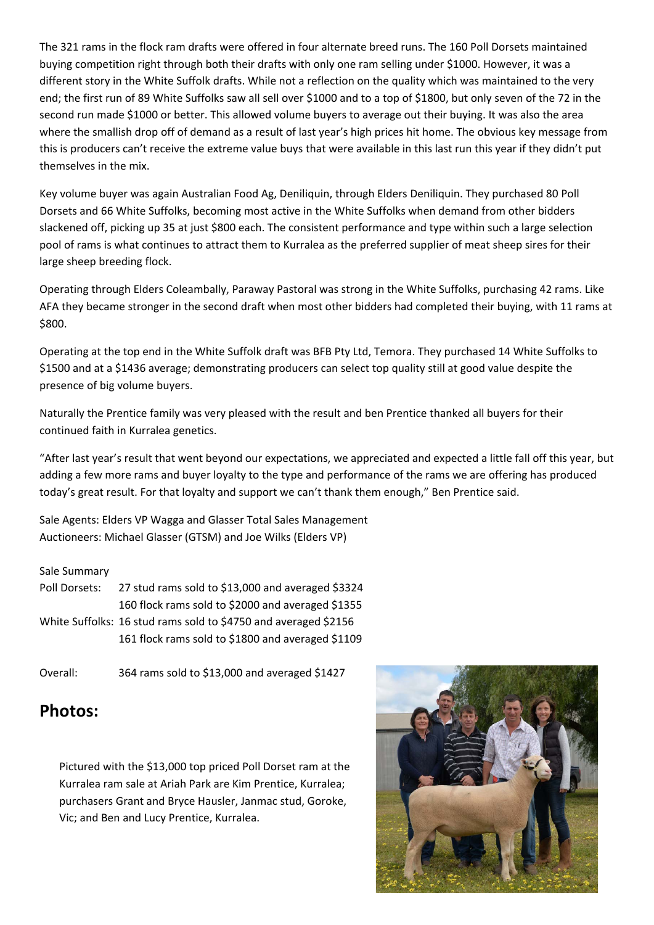The 321 rams in the flock ram drafts were offered in four alternate breed runs. The 160 Poll Dorsets maintained buying competition right through both their drafts with only one ram selling under \$1000. However, it was a different story in the White Suffolk drafts. While not a reflection on the quality which was maintained to the very end; the first run of 89 White Suffolks saw all sell over \$1000 and to a top of \$1800, but only seven of the 72 in the second run made \$1000 or better. This allowed volume buyers to average out their buying. It was also the area where the smallish drop off of demand as a result of last year's high prices hit home. The obvious key message from this is producers can't receive the extreme value buys that were available in this last run this year if they didn't put themselves in the mix.

Key volume buyer was again Australian Food Ag, Deniliquin, through Elders Deniliquin. They purchased 80 Poll Dorsets and 66 White Suffolks, becoming most active in the White Suffolks when demand from other bidders slackened off, picking up 35 at just \$800 each. The consistent performance and type within such a large selection pool of rams is what continues to attract them to Kurralea as the preferred supplier of meat sheep sires for their large sheep breeding flock.

Operating through Elders Coleambally, Paraway Pastoral was strong in the White Suffolks, purchasing 42 rams. Like AFA they became stronger in the second draft when most other bidders had completed their buying, with 11 rams at \$800.

Operating at the top end in the White Suffolk draft was BFB Pty Ltd, Temora. They purchased 14 White Suffolks to \$1500 and at a \$1436 average; demonstrating producers can select top quality still at good value despite the presence of big volume buyers.

Naturally the Prentice family was very pleased with the result and ben Prentice thanked all buyers for their continued faith in Kurralea genetics.

"After last year's result that went beyond our expectations, we appreciated and expected a little fall off this year, but adding a few more rams and buyer loyalty to the type and performance of the rams we are offering has produced today's great result. For that loyalty and support we can't thank them enough," Ben Prentice said.

Sale Agents: Elders VP Wagga and Glasser Total Sales Management Auctioneers: Michael Glasser (GTSM) and Joe Wilks (Elders VP)

## Sale Summary

| Poll Dorsets: | 27 stud rams sold to \$13,000 and averaged \$3324               |
|---------------|-----------------------------------------------------------------|
|               | 160 flock rams sold to \$2000 and averaged \$1355               |
|               | White Suffolks: 16 stud rams sold to \$4750 and averaged \$2156 |
|               | 161 flock rams sold to \$1800 and averaged \$1109               |
|               |                                                                 |

Overall: 364 rams sold to \$13,000 and averaged \$1427

## **Photos:**

Pictured with the \$13,000 top priced Poll Dorset ram at the Kurralea ram sale at Ariah Park are Kim Prentice, Kurralea; purchasers Grant and Bryce Hausler, Janmac stud, Goroke, Vic; and Ben and Lucy Prentice, Kurralea.